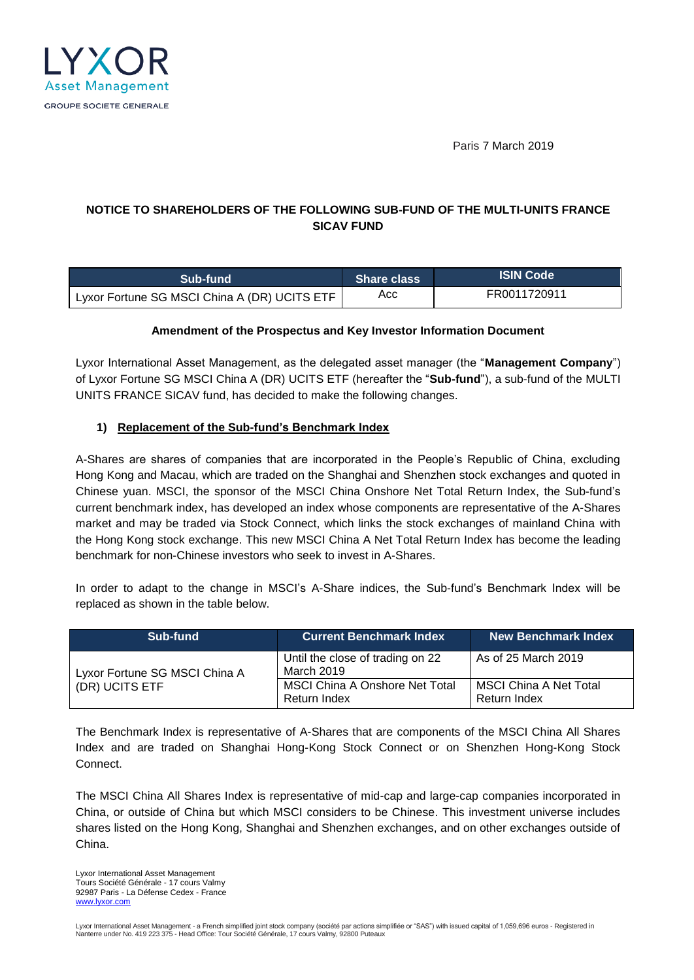

Paris 7 March 2019

# **NOTICE TO SHAREHOLDERS OF THE FOLLOWING SUB-FUND OF THE MULTI-UNITS FRANCE SICAV FUND**

| Sub-fund                                     | <b>Share class</b> | LISIN Code ! |
|----------------------------------------------|--------------------|--------------|
| Lyxor Fortune SG MSCI China A (DR) UCITS ETF | Acc                | FR0011720911 |

#### **Amendment of the Prospectus and Key Investor Information Document**

Lyxor International Asset Management, as the delegated asset manager (the "**Management Company**") of Lyxor Fortune SG MSCI China A (DR) UCITS ETF (hereafter the "**Sub-fund**"), a sub-fund of the MULTI UNITS FRANCE SICAV fund, has decided to make the following changes.

### **1) Replacement of the Sub-fund's Benchmark Index**

A-Shares are shares of companies that are incorporated in the People's Republic of China, excluding Hong Kong and Macau, which are traded on the Shanghai and Shenzhen stock exchanges and quoted in Chinese yuan. MSCI, the sponsor of the MSCI China Onshore Net Total Return Index, the Sub-fund's current benchmark index, has developed an index whose components are representative of the A-Shares market and may be traded via Stock Connect, which links the stock exchanges of mainland China with the Hong Kong stock exchange. This new MSCI China A Net Total Return Index has become the leading benchmark for non-Chinese investors who seek to invest in A-Shares.

In order to adapt to the change in MSCI's A-Share indices, the Sub-fund's Benchmark Index will be replaced as shown in the table below.

| Sub-fund                                        | <b>Current Benchmark Index</b>                        | <b>New Benchmark Index</b>             |
|-------------------------------------------------|-------------------------------------------------------|----------------------------------------|
| Lyxor Fortune SG MSCI China A<br>(DR) UCITS ETF | Until the close of trading on 22<br>March 2019        | As of 25 March 2019                    |
|                                                 | <b>MSCI China A Onshore Net Total</b><br>Return Index | MSCI China A Net Total<br>Return Index |

The Benchmark Index is representative of A-Shares that are components of the MSCI China All Shares Index and are traded on Shanghai Hong-Kong Stock Connect or on Shenzhen Hong-Kong Stock Connect.

The MSCI China All Shares Index is representative of mid-cap and large-cap companies incorporated in China, or outside of China but which MSCI considers to be Chinese. This investment universe includes shares listed on the Hong Kong, Shanghai and Shenzhen exchanges, and on other exchanges outside of China.

Lyxor International Asset Management Tours Société Générale - 17 cours Valmy 92987 Paris - La Défense Cedex - France [www.lyxor.com](http://www.lyxor.com/)

Lyxor International Asset Management - a French simplified joint stock company (société par actions simplifiée or "SAS") with issued capital of 1,059,696 euros - Registered in<br>Nanterre under No. 419 223 375 - Head Office: